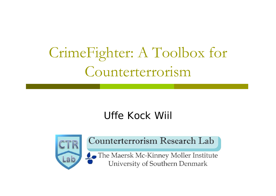# CrimeFighter: A Toolbox for Counterterrorism

#### Uffe Kock Wiil



#### Counterterrorism Research Lab

The Maersk Mc-Kinney Moller Institute University of Southern Denmark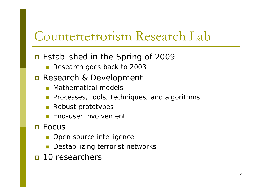## Counterterrorism Research Lab

#### ■ Established in the Spring of 2009

p. Research goes back to 2003

#### **Research & Development**

- **Mathematical models**
- **Processes, tools, techniques, and algorithms**
- **Robust prototypes**
- **End-user involvement**

#### **□** Focus

- **Open source intelligence**
- Π Destabilizing terrorist networks
- **n** 10 researchers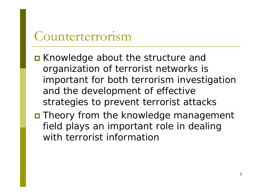#### Counterterrorism

- **E** Knowledge about the structure and organization of terrorist networks is important for both terrorism investigation and the development of effective strategies to prevent terrorist attacks
- **O** Theory from the knowledge management field plays an important role in dealing with terrorist information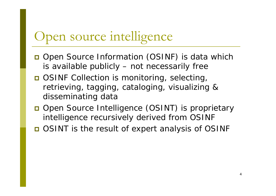# Open source intelligence

- □ Open Source Information (OSINF) is data which is available publicly – not necessarily free
- **OSINF Collection is monitoring, selecting,** retrieving, tagging, cataloging, visualizing & disseminating data
- **Open Source Intelligence (OSINT) is proprietary** intelligence recursively derived from OSINF
- □ OSINT is the result of expert analysis of OSINF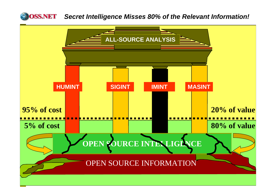

#### *Secret Intelligence Misses 80% of the Relevant Information!*

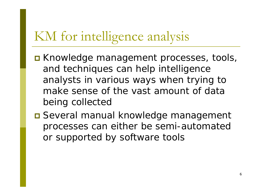# KM for intelligence analysis

- **EXALE Knowledge management processes, tools,** and techniques can help intelligence analysts in various ways when trying to make sense of the vast amount of data being collected
- **□ Several manual knowledge management** processes can either be semi-automated or supported by software tools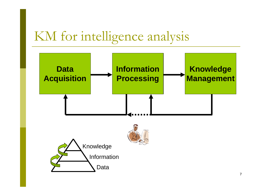## KM for intelligence analysis

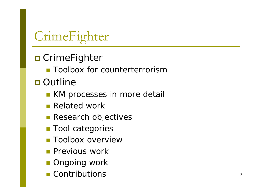# CrimeFighter

#### **□** CrimeFighter

**Toolbox for counterterrorism** 

#### **□ Outline**

- **KM** processes in more detail
- **Related work**
- **Research objectives**
- **Tool categories**
- **Toolbox overview**
- **Previous work**
- **Ongoing work**
- **Contributions**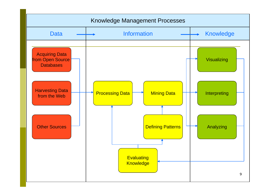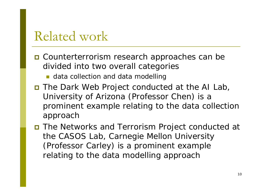## Related work

- **□** Counterterrorism research approaches can be divided into two overall categories
	- **data collection and data modelling**
- The *Dark Web Project* conducted at the AI Lab, University of Arizona (Professor Chen) is a prominent example relating to the data collection approach
- The *Networks and Terrorism Project* conducted at the CASOS Lab, Carnegie Mellon University (Professor Carley) is a prominent example relating to the data modelling approach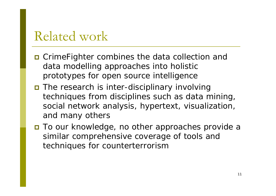## Related work

- **O** CrimeFighter combines the data collection and data modelling approaches into holistic prototypes for open source intelligence
- The research is inter-disciplinary involving techniques from disciplines such as data mining, social network analysis, hypertext, visualization, and many others
- To our knowledge, no other approaches provide a similar comprehensive coverage of tools and techniques for counterterrorism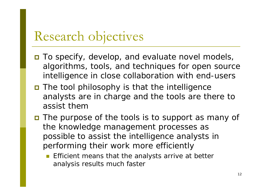#### Research objectives

- **□** To specify, develop, and evaluate novel models, algorithms, tools, and techniques for open source intelligence in close collaboration with end-users
- The tool philosophy is that the intelligence analysts are in charge and the tools are there to assist them
- **n** The purpose of the tools is to support as many of the knowledge management processes as possible to assist the intelligence analysts in performing their work more efficiently
	- F Efficient means that the analysts arrive at better analysis results much faster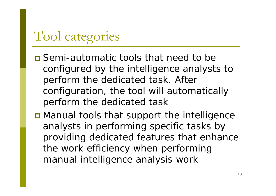# Tool categories

- **O** Semi-automatic tools that need to be configured by the intelligence analysts to perform the dedicated task. After configuration, the tool will automatically perform the dedicated task
- **D** Manual tools that support the intelligence analysts in performing specific tasks by providing dedicated features that enhance the work efficiency when performing manual intelligence analysis work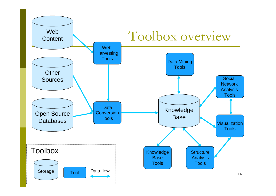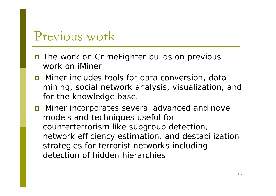### Previous work

- $\blacksquare$  The work on CrimeFighter builds on previous work on *iMiner*
- *iMiner* includes tools for data conversion, data mining, social network analysis, visualization, and for the knowledge base.
- *I iMiner* incorporates several advanced and novel models and techniques useful for counterterrorism like subgroup detection, network efficiency estimation, and destabilization strategies for terrorist networks including detection of hidden hierarchies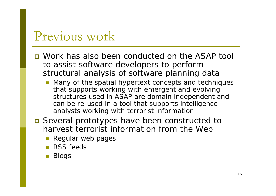#### Previous work

- **D** Work has also been conducted on the ASAP tool to assist software developers to perform structural analysis of software planning data
	- **Many of the spatial hypertext concepts and techniques** that supports working with emergent and evolving structures used in ASAP are domain independent and can be re-used in a tool that supports intelligence analysts working with terrorist information
- Several prototypes have been constructed to harvest terrorist information from the Web
	- **Regular web pages**
	- **RSS** feeds
	- Π Blogs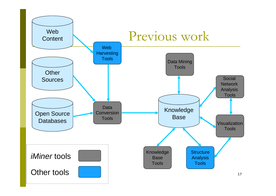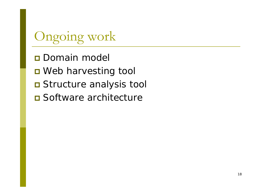# Ongoing work

**Domain model D** Web harvesting tool **O** Structure analysis tool **□** Software architecture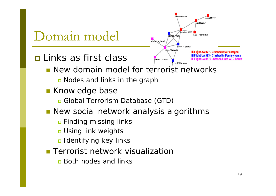

- Finding missing links
- **n** Using link weights
- Identifying key links
- **Terrorist network visualization** 
	- **<u>n</u>** Both nodes and links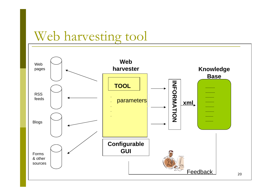## Web harvesting tool

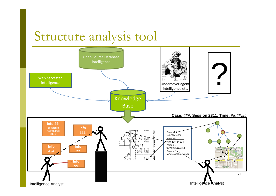## Structure analysis tool

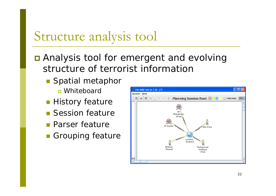## Structure analysis tool

**Q** Analysis tool for emergent and evolving structure of terrorist information

- **Spatial metaphor □** Whiteboard
- **History feature**
- **Session feature**
- **Parser feature**
- **Grouping feature**

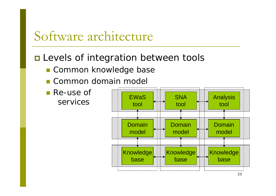### Software architecture

#### $\blacksquare$  Levels of integration between tools

- **E Common knowledge base**
- **E** Common domain model
- Re-use of services